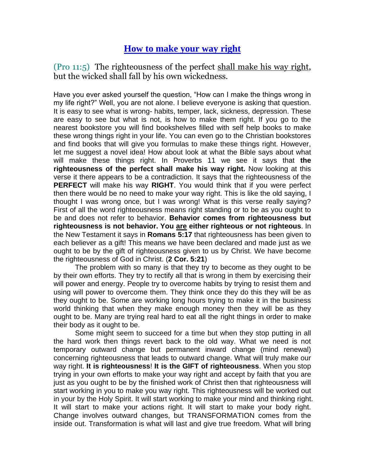## **How to make your way right**

(Pro 11:5) The righteousness of the perfect shall make his way right, but the wicked shall fall by his own wickedness.

Have you ever asked yourself the question, "How can I make the things wrong in my life right?" Well, you are not alone. I believe everyone is asking that question. It is easy to see what is wrong- habits, temper, lack, sickness, depression. These are easy to see but what is not, is how to make them right. If you go to the nearest bookstore you will find bookshelves filled with self help books to make these wrong things right in your life. You can even go to the Christian bookstores and find books that will give you formulas to make these things right. However, let me suggest a novel idea! How about look at what the Bible says about what will make these things right. In Proverbs 11 we see it says that **the righteousness of the perfect shall make his way right.** Now looking at this verse it there appears to be a contradiction. It says that the righteousness of the **PERFECT** will make his way **RIGHT**. You would think that if you were perfect then there would be no need to make your way right. This is like the old saying, I thought I was wrong once, but I was wrong! What is this verse really saying? First of all the word righteousness means right standing or to be as you ought to be and does not refer to behavior. **Behavior comes from righteousness but righteousness is not behavior. You are either righteous or not righteous**. In the New Testament it says in **Romans 5:17** that righteousness has been given to each believer as a gift! This means we have been declared and made just as we ought to be by the gift of righteousness given to us by Christ. We have become the righteousness of God in Christ. (**2 Cor. 5:21**)

The problem with so many is that they try to become as they ought to be by their own efforts. They try to rectify all that is wrong in them by exercising their will power and energy. People try to overcome habits by trying to resist them and using will power to overcome them. They think once they do this they will be as they ought to be. Some are working long hours trying to make it in the business world thinking that when they make enough money then they will be as they ought to be. Many are trying real hard to eat all the right things in order to make their body as it ought to be.

Some might seem to succeed for a time but when they stop putting in all the hard work then things revert back to the old way. What we need is not temporary outward change but permanent inward change (mind renewal) concerning righteousness that leads to outward change. What will truly make our way right. **It is righteousness**! **It is the GIFT of righteousness**. When you stop trying in your own efforts to make your way right and accept by faith that you are just as you ought to be by the finished work of Christ then that righteousness will start working in you to make you way right. This righteousness will be worked out in your by the Holy Spirit. It will start working to make your mind and thinking right. It will start to make your actions right. It will start to make your body right. Change involves outward changes, but TRANSFORMATION comes from the inside out. Transformation is what will last and give true freedom. What will bring